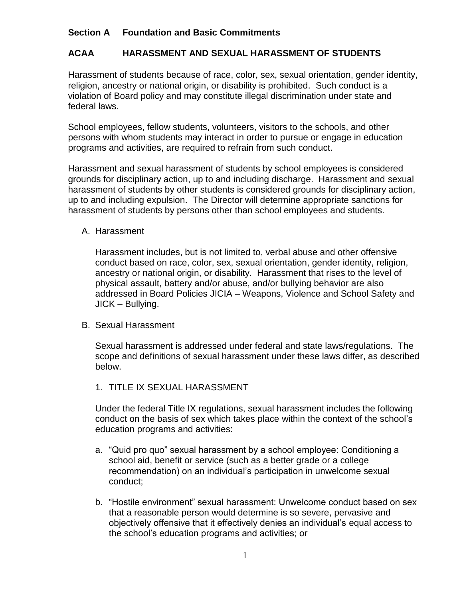## **Section A Foundation and Basic Commitments**

## **ACAA HARASSMENT AND SEXUAL HARASSMENT OF STUDENTS**

Harassment of students because of race, color, sex, sexual orientation, gender identity, religion, ancestry or national origin, or disability is prohibited. Such conduct is a violation of Board policy and may constitute illegal discrimination under state and federal laws.

School employees, fellow students, volunteers, visitors to the schools, and other persons with whom students may interact in order to pursue or engage in education programs and activities, are required to refrain from such conduct.

Harassment and sexual harassment of students by school employees is considered grounds for disciplinary action, up to and including discharge. Harassment and sexual harassment of students by other students is considered grounds for disciplinary action, up to and including expulsion. The Director will determine appropriate sanctions for harassment of students by persons other than school employees and students.

A. Harassment

Harassment includes, but is not limited to, verbal abuse and other offensive conduct based on race, color, sex, sexual orientation, gender identity, religion, ancestry or national origin, or disability. Harassment that rises to the level of physical assault, battery and/or abuse, and/or bullying behavior are also addressed in Board Policies JICIA – Weapons, Violence and School Safety and JICK – Bullying.

B. Sexual Harassment

Sexual harassment is addressed under federal and state laws/regulations. The scope and definitions of sexual harassment under these laws differ, as described below.

1. TITLE IX SEXUAL HARASSMENT

Under the federal Title IX regulations, sexual harassment includes the following conduct on the basis of sex which takes place within the context of the school's education programs and activities:

- a. "Quid pro quo" sexual harassment by a school employee: Conditioning a school aid, benefit or service (such as a better grade or a college recommendation) on an individual's participation in unwelcome sexual conduct;
- b. "Hostile environment" sexual harassment: Unwelcome conduct based on sex that a reasonable person would determine is so severe, pervasive and objectively offensive that it effectively denies an individual's equal access to the school's education programs and activities; or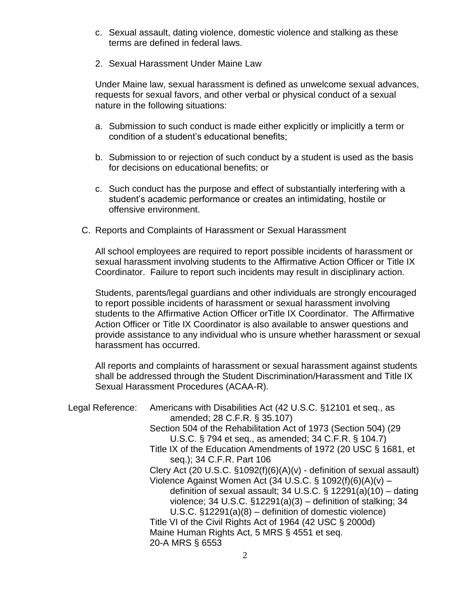- c. Sexual assault, dating violence, domestic violence and stalking as these terms are defined in federal laws.
- 2. Sexual Harassment Under Maine Law

Under Maine law, sexual harassment is defined as unwelcome sexual advances, requests for sexual favors, and other verbal or physical conduct of a sexual nature in the following situations:

- a. Submission to such conduct is made either explicitly or implicitly a term or condition of a student's educational benefits;
- b. Submission to or rejection of such conduct by a student is used as the basis for decisions on educational benefits; or
- c. Such conduct has the purpose and effect of substantially interfering with a student's academic performance or creates an intimidating, hostile or offensive environment.
- C. Reports and Complaints of Harassment or Sexual Harassment

All school employees are required to report possible incidents of harassment or sexual harassment involving students to the Affirmative Action Officer or Title IX Coordinator. Failure to report such incidents may result in disciplinary action.

Students, parents/legal guardians and other individuals are strongly encouraged to report possible incidents of harassment or sexual harassment involving students to the Affirmative Action Officer orTitle IX Coordinator. The Affirmative Action Officer or Title IX Coordinator is also available to answer questions and provide assistance to any individual who is unsure whether harassment or sexual harassment has occurred.

All reports and complaints of harassment or sexual harassment against students shall be addressed through the Student Discrimination/Harassment and Title IX Sexual Harassment Procedures (ACAA-R).

| Legal Reference: | Americans with Disabilities Act (42 U.S.C. §12101 et seq., as             |
|------------------|---------------------------------------------------------------------------|
|                  | amended; 28 C.F.R. § 35.107)                                              |
|                  | Section 504 of the Rehabilitation Act of 1973 (Section 504) (29           |
|                  | U.S.C. § 794 et seq., as amended; 34 C.F.R. § 104.7)                      |
|                  | Title IX of the Education Amendments of 1972 (20 USC § 1681, et           |
|                  | seq.); 34 C.F.R. Part 106                                                 |
|                  | Clery Act (20 U.S.C. $\S1092(f)(6)(A)(v)$ - definition of sexual assault) |
|                  | Violence Against Women Act (34 U.S.C. § 1092(f)(6)(A)(v) –                |
|                  | definition of sexual assault; 34 U.S.C. $\S$ 12291(a)(10) – dating        |
|                  | violence; 34 U.S.C. $\S$ 12291(a)(3) – definition of stalking; 34         |
|                  | U.S.C. $\S$ 12291(a)(8) – definition of domestic violence)                |
|                  | Title VI of the Civil Rights Act of 1964 (42 USC § 2000d)                 |
|                  | Maine Human Rights Act, 5 MRS § 4551 et seq.                              |
|                  | 20-A MRS § 6553                                                           |